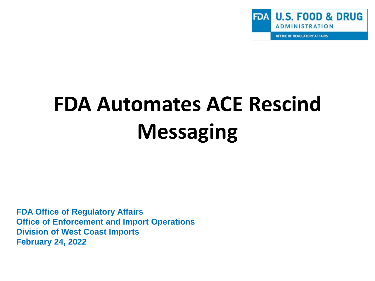

OFFICE OF REGULATORY AFFAIRS

# **FDA Automates ACE Rescind Messaging**

**FDA Office of Regulatory Affairs Office of Enforcement and Import Operations Division of West Coast Imports February 24, 2022**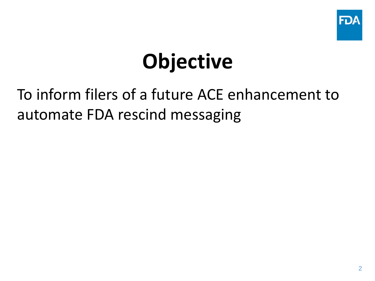

# **Objective**

#### To inform filers of a future ACE enhancement to automate FDA rescind messaging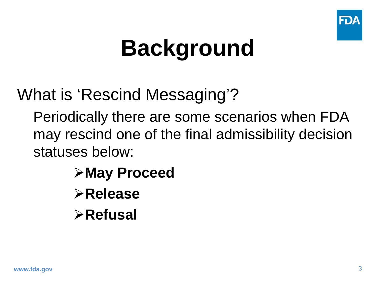

# **Background**

What is 'Rescind Messaging'?

Periodically there are some scenarios when FDA may rescind one of the final admissibility decision statuses below:

> **May Proceed Release Refusal**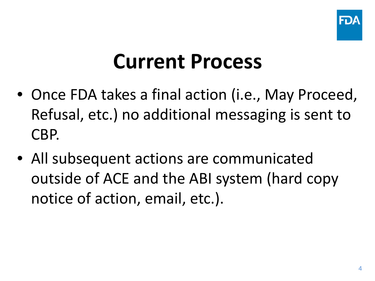

#### **Current Process**

- Once FDA takes a final action (i.e., May Proceed, Refusal, etc.) no additional messaging is sent to CBP.
- All subsequent actions are communicated outside of ACE and the ABI system (hard copy notice of action, email, etc.).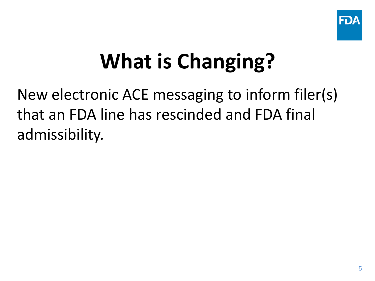

# **What is Changing?**

New electronic ACE messaging to inform filer(s) that an FDA line has rescinded and FDA final admissibility.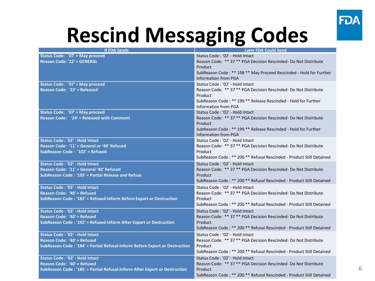

#### **Rescind Messaging Codes**

| <b>If FDA Sends</b>                                                         | <b>Later FDA Could Send</b>                                          |
|-----------------------------------------------------------------------------|----------------------------------------------------------------------|
| Status Code: '07' = May proceed                                             | Status Code: '02' - Hold Intact                                      |
| <b>Reason Code: '22' = GENERAL</b>                                          | Reason Code: ** 37 ** PGA Decision Rescinded- Do Not Distribute      |
|                                                                             | Product                                                              |
|                                                                             | SubReason Code: ** 198 ** May Proceed Rescinded - Hold for Further   |
|                                                                             | <b>Information from PGA</b>                                          |
| Status Code: '07' = May proceed                                             | Status Code: '02' - Hold Intact                                      |
| Reason Code: '23' = Released                                                | Reason Code: ** 37 ** PGA Decision Rescinded- Do Not Distribute      |
|                                                                             | Product                                                              |
|                                                                             | SubReason Code: ** 199 ** Release Rescinded - Hold for Further       |
|                                                                             | <b>Information from PGA</b>                                          |
| Status Code: '07' = May proceed                                             | Status Code: '02' - Hold Intact                                      |
| Reason Code: '24' = Released with Comment                                   | Reason Code: ** 37 ** PGA Decision Rescinded- Do Not Distribute      |
|                                                                             | Product                                                              |
|                                                                             | SubReason Code: ** 199 ** Release Rescinded - Hold for Further       |
|                                                                             | <b>Information from PGA</b>                                          |
| Status Code: '02' - Hold Intact                                             | Status Code: '02' - Hold Intact                                      |
| Reason Code: '11' = General or '40' Refused                                 | Reason Code: ** 37 ** PGA Decision Rescinded- Do Not Distribute      |
| SubReason Code: '102' = Refused                                             | Product                                                              |
|                                                                             | SubReason Code: ** 200 ** Refusal Rescinded - Product Still Detained |
| Status Code: '02' - Hold Intact                                             | Status Code: '02' - Hold Intact                                      |
| Reason Code: '11' = General '40' Refused                                    | Reason Code: ** 37 ** PGA Decision Rescinded- Do Not Distribute      |
| SubReason Code: '103' = Partial Release and Refuse                          | Product                                                              |
|                                                                             | SubReason Code: ** 200 ** Refusal Rescinded - Product Still Detained |
| Status Code: '02' - Hold Intact                                             | Status Code: '02' - Hold Intact                                      |
| Reason Code: '40' = Refused                                                 | Reason Code: ** 37 ** PGA Decision Rescinded- Do Not Distribute      |
| SubReason Code: '182' = Refused-Inform Before Export or Destruction         | Product                                                              |
|                                                                             | SubReason Code: ** 200 ** Refusal Rescinded - Product Still Detained |
| Status Code: '02' - Hold Intact                                             | Status Code: '02' - Hold Intact                                      |
| Reason Code: '40' = Refused                                                 | Reason Code: ** 37 ** PGA Decision Rescinded- Do Not Distribute      |
| SubReason Code: '192' = Refused-Inform After Export or Destruction          | Product                                                              |
|                                                                             | SubReason Code: ** 200 ** Refusal Rescinded - Product Still Detained |
| <b>Status Code: '02' - Hold Intact</b>                                      | Status Code: '02' - Hold Intact                                      |
| Reason Code: '40' = Refused                                                 | Reason Code: ** 37 ** PGA Decision Rescinded- Do Not Distribute      |
| SubReason Code: '184' = Partial Refusal-Inform Before Export or Destruction | Product                                                              |
|                                                                             | SubReason Code: ** 200 ** Refusal Rescinded - Product Still Detained |
| <b>Status Code: '02' - Hold Intact</b>                                      | Status Code: '02' - Hold Intact                                      |
| Reason Code: '40' = Refused                                                 | Reason Code: ** 37 ** PGA Decision Rescinded- Do Not Distribute      |
| SubReason Code: '185' = Partial Refusal-Inform After Export or Destruction  | Product                                                              |
|                                                                             | SubReason Code: ** 200 ** Refusal Rescinded - Product Still Detained |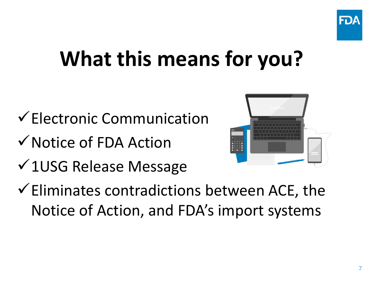

### **What this means for you?**

- $\checkmark$  Electronic Communication
- $\checkmark$  Notice of FDA Action
- $\sqrt{1}$ USG Release Message
- $\checkmark$  Eliminates contradictions between ACE, the Notice of Action, and FDA's import systems

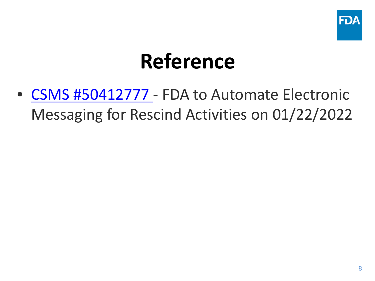

#### **Reference**

• [CSMS #50412777](https://content.govdelivery.com/bulletins/gd/USDHSCBP-3013ce9?wgt_ref=USDHSCBP_WIDGET_2) - FDA to Automate Electronic Messaging for Rescind Activities on 01/22/2022